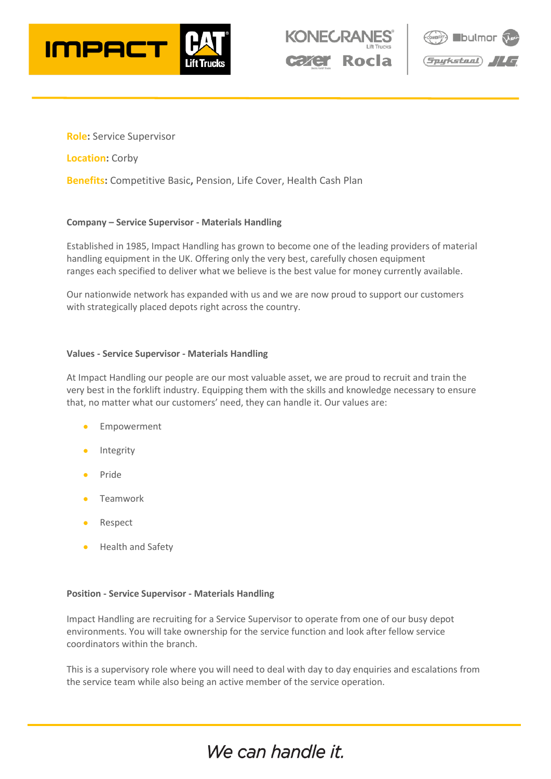





**Role:** Service Supervisor

**Location:** Corby

**Benefits:** Competitive Basic**,** Pension, Life Cover, Health Cash Plan

## **Company – Service Supervisor - Materials Handling**

Established in 1985, Impact Handling has grown to become one of the leading providers of material handling equipment in the UK. Offering only the very best, carefully chosen equipment ranges each specified to deliver what we believe is the best value for money currently available.

Our nationwide network has expanded with us and we are now proud to support our customers with strategically placed depots right across the country.

## **Values - Service Supervisor - Materials Handling**

At Impact Handling our people are our most valuable asset, we are proud to recruit and train the very best in the forklift industry. Equipping them with the skills and knowledge necessary to ensure that, no matter what our customers' need, they can handle it. Our values are:

- **Empowerment**
- **Integrity**
- Pride
- **Teamwork**
- Respect
- Health and Safety

## **Position - Service Supervisor - Materials Handling**

Impact Handling are recruiting for a Service Supervisor to operate from one of our busy depot environments. You will take ownership for the service function and look after fellow service coordinators within the branch.

This is a supervisory role where you will need to deal with day to day enquiries and escalations from the service team while also being an active member of the service operation.

# We can handle it.